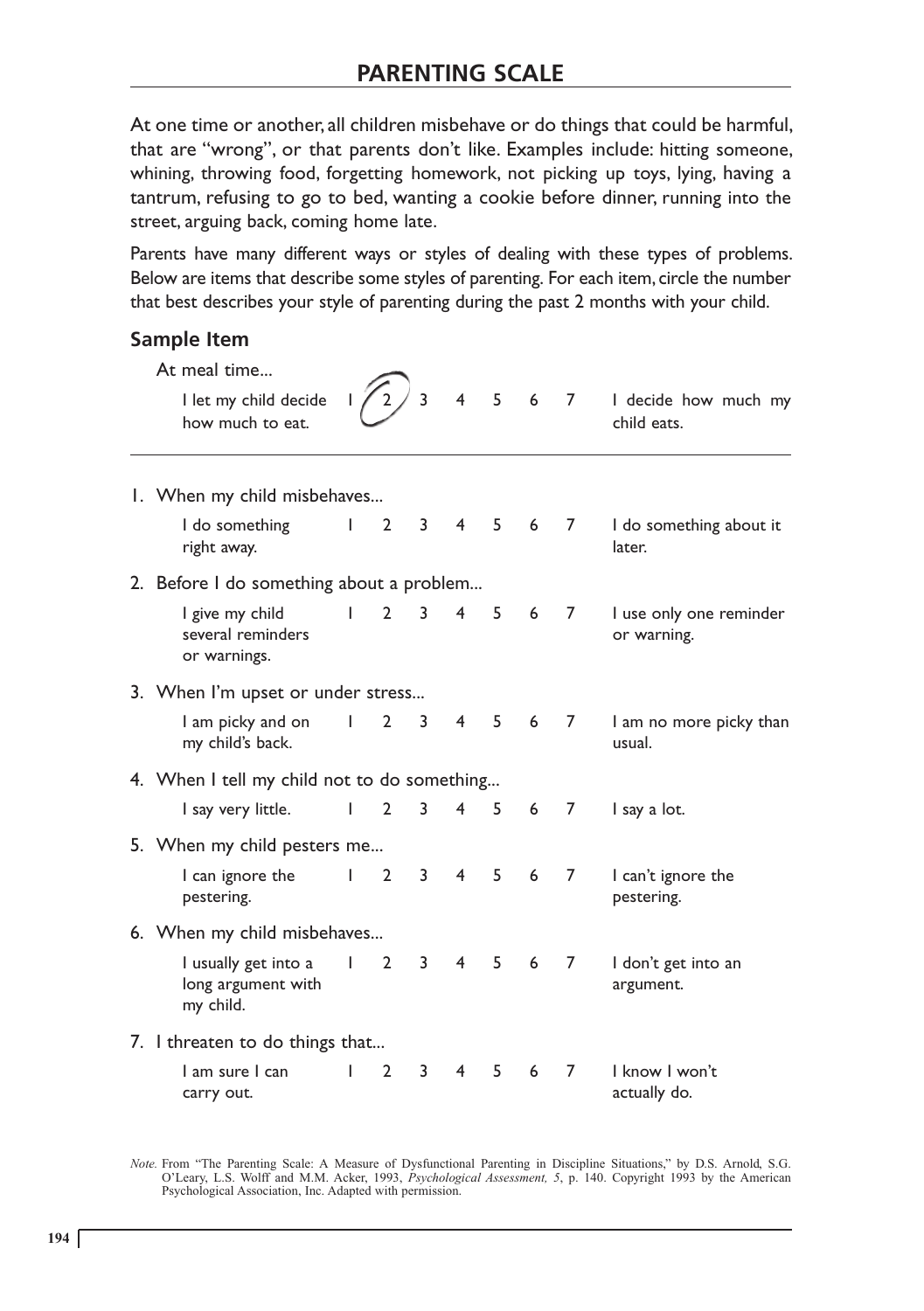At one time or another, all children misbehave or do things that could be harmful, that are "wrong", or that parents don't like. Examples include: hitting someone, whining, throwing food, forgetting homework, not picking up toys, lying, having a tantrum, refusing to go to bed, wanting a cookie before dinner, running into the street, arguing back, coming home late.

Parents have many different ways or styles of dealing with these types of problems. Below are items that describe some styles of parenting. For each item, circle the number that best describes your style of parenting during the past 2 months with your child.

## **Sample Item**

|  | At meal time                                            |              |                |             |                |   |     |                |                                        |  |  |
|--|---------------------------------------------------------|--------------|----------------|-------------|----------------|---|-----|----------------|----------------------------------------|--|--|
|  | I let my child decide<br>how much to eat.               |              | $\overline{2}$ | 3           | $\overline{4}$ | 5 | 6   | $\overline{7}$ | I decide how much my<br>child eats.    |  |  |
|  | 1. When my child misbehaves                             |              |                |             |                |   |     |                |                                        |  |  |
|  | I do something<br>right away.                           | L            | $\overline{2}$ | $3^{\circ}$ | $\overline{4}$ |   | 5 6 | $\overline{7}$ | I do something about it<br>later.      |  |  |
|  | 2. Before I do something about a problem                |              |                |             |                |   |     |                |                                        |  |  |
|  | I give my child<br>several reminders<br>or warnings.    | L            | $\overline{2}$ | 3           | $\overline{4}$ | 5 | 6   | $\overline{7}$ | I use only one reminder<br>or warning. |  |  |
|  | 3. When I'm upset or under stress                       |              |                |             |                |   |     |                |                                        |  |  |
|  | I am picky and on<br>my child's back.                   | $\mathbf{I}$ | $\overline{2}$ | 3           | 4 <sup>1</sup> | 5 | 6   | 7              | I am no more picky than<br>usual.      |  |  |
|  | 4. When I tell my child not to do something             |              |                |             |                |   |     |                |                                        |  |  |
|  | I say very little.                                      | L            | $\overline{2}$ | 3           | 4              | 5 | 6   | 7              | I say a lot.                           |  |  |
|  | 5. When my child pesters me                             |              |                |             |                |   |     |                |                                        |  |  |
|  | I can ignore the<br>pestering.                          | $\mathbf{L}$ | $\overline{2}$ | 3           | $\overline{4}$ | 5 | 6   | $\overline{7}$ | I can't ignore the<br>pestering.       |  |  |
|  | 6. When my child misbehaves                             |              |                |             |                |   |     |                |                                        |  |  |
|  | I usually get into a<br>long argument with<br>my child. | $\mathsf{I}$ | $\overline{2}$ | 3           | $\overline{4}$ | 5 | 6   | 7              | I don't get into an<br>argument.       |  |  |
|  | 7. I threaten to do things that                         |              |                |             |                |   |     |                |                                        |  |  |
|  | I am sure I can<br>carry out.                           |              | $\overline{2}$ | 3           | 4              | 5 | 6   | 7              | I know I won't<br>actually do.         |  |  |

Note. From "The Parenting Scale: A Measure of Dysfunctional Parenting in Discipline Situations," by D.S. Arnold, S.G. O'Leary, L.S. Wolff and M.M. Acker, 1993, *Psychological Assessment*, 5, p. 140. Copyright 1993 by the A Psychological Association, Inc. Adapted with permission.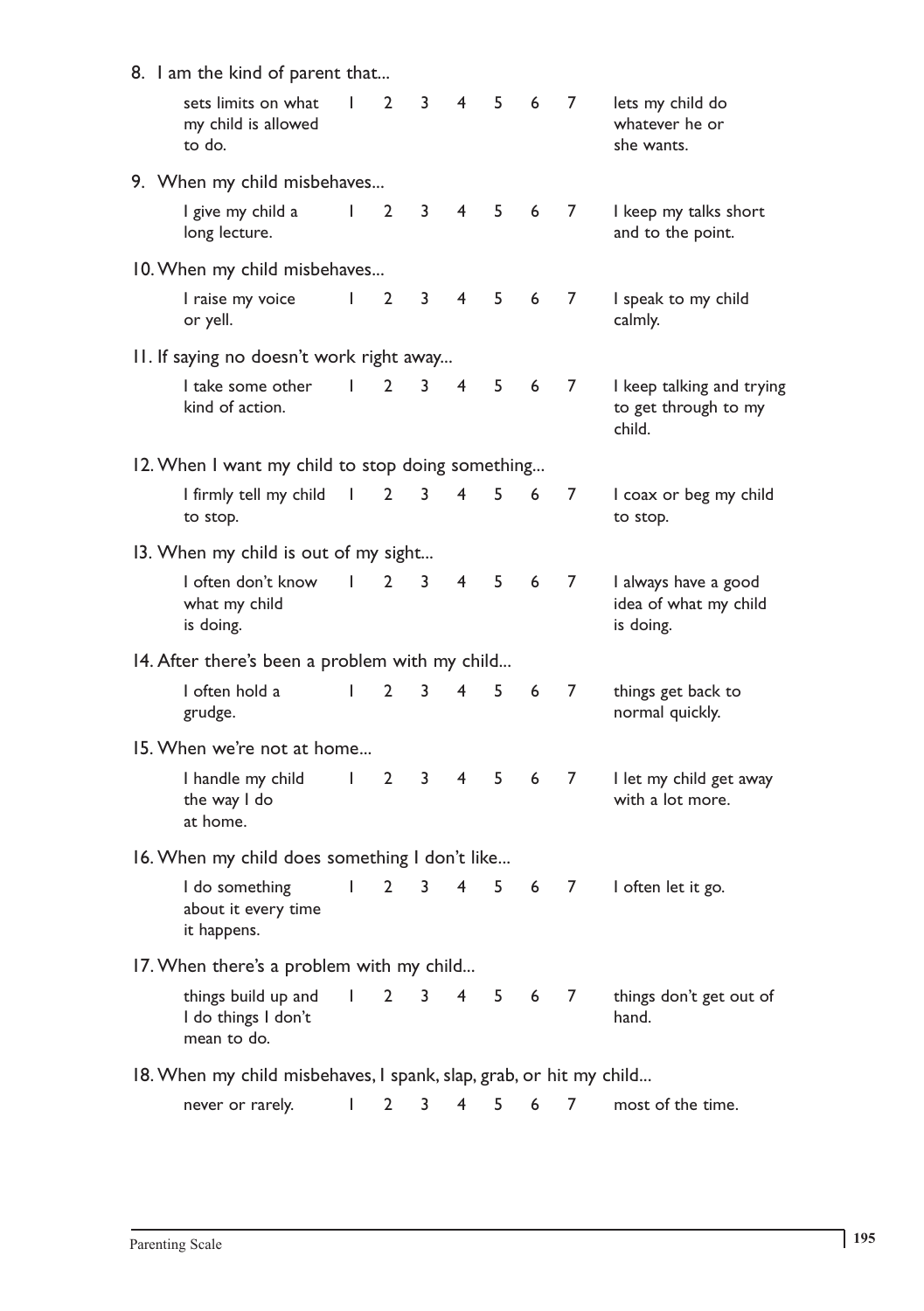| 8. I am the kind of parent that                                                       |              |                |    |                |   |       |                |                                                             |
|---------------------------------------------------------------------------------------|--------------|----------------|----|----------------|---|-------|----------------|-------------------------------------------------------------|
| sets limits on what<br>my child is allowed<br>to do.                                  | $\mathbf{I}$ | $\mathbf{2}$   | 3  | 4              | 5 | 6     | $\overline{7}$ | lets my child do<br>whatever he or<br>she wants.            |
| 9. When my child misbehaves                                                           |              |                |    |                |   |       |                |                                                             |
| I give my child a<br>long lecture.                                                    | T            | $\overline{2}$ | 3  | 4              | 5 | 6     | 7              | I keep my talks short<br>and to the point.                  |
| 10. When my child misbehaves                                                          |              |                |    |                |   |       |                |                                                             |
| I raise my voice<br>or yell.                                                          | L            | $\overline{2}$ | 3  | $\overline{4}$ | 5 | 6     | 7              | I speak to my child<br>calmly.                              |
| II. If saying no doesn't work right away                                              |              |                |    |                |   |       |                |                                                             |
| I take some other<br>kind of action.                                                  | L            | $\mathbf{2}$   | 3  | 4              | 5 | 6     | 7              | I keep talking and trying<br>to get through to my<br>child. |
| 12. When I want my child to stop doing something                                      |              |                |    |                |   |       |                |                                                             |
| I firmly tell my child<br>to stop.                                                    | $\Box$       | $\overline{2}$ | 3  | 4              | 5 | 6     | 7              | I coax or beg my child<br>to stop.                          |
| 13. When my child is out of my sight                                                  |              |                |    |                |   |       |                |                                                             |
| I often don't know<br>what my child<br>is doing.                                      | $\mathbf{I}$ | $\overline{2}$ | 3  | 4              | 5 | 6     | 7              | I always have a good<br>idea of what my child<br>is doing.  |
| 14. After there's been a problem with my child                                        |              |                |    |                |   |       |                |                                                             |
| I often hold a<br>grudge.                                                             | L            | $\overline{2}$ | 3  | 4              | 5 | 6     | 7              | things get back to<br>normal quickly.                       |
| 15. When we're not at home                                                            |              |                |    |                |   |       |                |                                                             |
| I handle my child<br>the way I do<br>at home.                                         | $\mathbf{I}$ | $\overline{2}$ | 3  | 4              | 5 | 6     | 7              | I let my child get away<br>with a lot more.                 |
| 16. When my child does something I don't like                                         |              |                |    |                |   |       |                |                                                             |
| I do something I 2 3 4 5 6 7 I often let it go.<br>about it every time<br>it happens. |              |                |    |                |   |       |                |                                                             |
| 17. When there's a problem with my child                                              |              |                |    |                |   |       |                |                                                             |
| things build up and<br>I do things I don't<br>mean to do.                             | T            | $\overline{2}$ | 3. | 4              |   | 5 6 7 |                | things don't get out of<br>hand.                            |
| 18. When my child misbehaves, I spank, slap, grab, or hit my child                    |              |                |    |                |   |       |                |                                                             |
| never or rarely.                                                                      | I            | 2              | 3  | 4              | 5 | 6     | 7              | most of the time.                                           |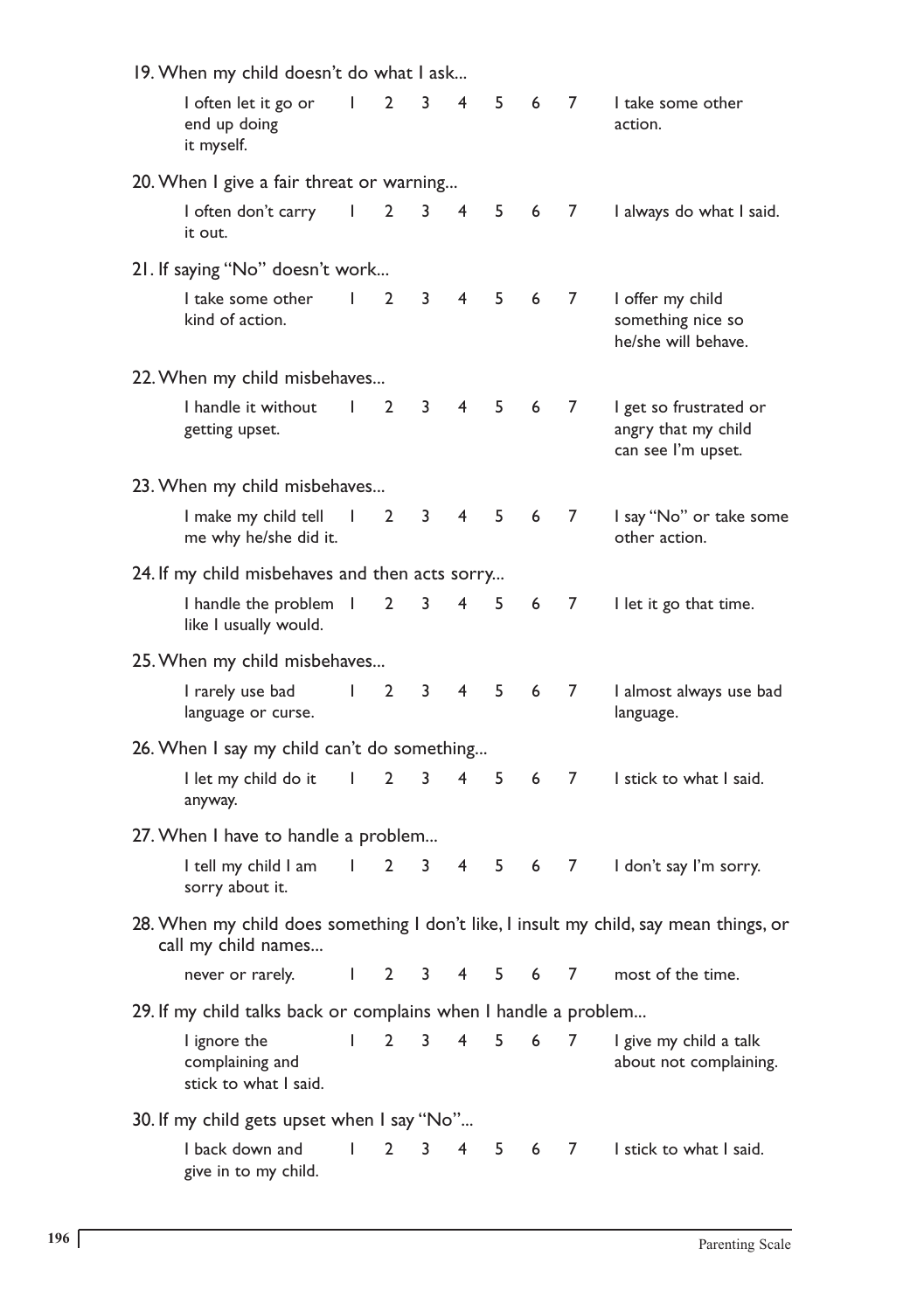|                                                | 19. When my child doesn't do what I ask                         |              |                       |                |                |                |   |   |                                                                                       |  |
|------------------------------------------------|-----------------------------------------------------------------|--------------|-----------------------|----------------|----------------|----------------|---|---|---------------------------------------------------------------------------------------|--|
|                                                | I often let it go or<br>end up doing<br>it myself.              | $\mathbf{I}$ | $\mathbf{2}$          | 3              | 4              | 5              | 6 | 7 | I take some other<br>action.                                                          |  |
| 20. When I give a fair threat or warning       |                                                                 |              |                       |                |                |                |   |   |                                                                                       |  |
|                                                | I often don't carry<br>it out.                                  | I            | $\mathbf{2}$          | 3              | $\overline{4}$ | 5              | 6 | 7 | I always do what I said.                                                              |  |
|                                                | 21. If saying "No" doesn't work                                 |              |                       |                |                |                |   |   |                                                                                       |  |
|                                                | I take some other<br>kind of action.                            | $\mathbf{I}$ | $\mathbf{2}^{\prime}$ | 3              | $\overline{4}$ | 5              | 6 | 7 | I offer my child<br>something nice so<br>he/she will behave.                          |  |
|                                                | 22. When my child misbehaves                                    |              |                       |                |                |                |   |   |                                                                                       |  |
|                                                | I handle it without<br>getting upset.                           | $\mathbf{I}$ | $\mathbf{2}$          | 3              | 4              | 5              | 6 | 7 | I get so frustrated or<br>angry that my child<br>can see I'm upset.                   |  |
| 23. When my child misbehaves                   |                                                                 |              |                       |                |                |                |   |   |                                                                                       |  |
|                                                | I make my child tell I<br>me why he/she did it.                 |              | $\overline{2}$        | 3              | $\overline{4}$ | 5              | 6 | 7 | I say "No" or take some<br>other action.                                              |  |
| 24. If my child misbehaves and then acts sorry |                                                                 |              |                       |                |                |                |   |   |                                                                                       |  |
|                                                | I handle the problem I<br>like I usually would.                 |              | $\overline{2}$        | 3              | 4              | 5              | 6 | 7 | I let it go that time.                                                                |  |
|                                                | 25. When my child misbehaves                                    |              |                       |                |                |                |   |   |                                                                                       |  |
|                                                | I rarely use bad<br>language or curse.                          | $\mathbf{I}$ | $\mathbf{2}$          | 3              | 4              | 5              | 6 | 7 | I almost always use bad<br>language.                                                  |  |
|                                                | 26. When I say my child can't do something                      |              |                       |                |                |                |   |   |                                                                                       |  |
|                                                | I let my child do it<br>anyway.                                 | I            | $\overline{2}$        | 3              | $\overline{4}$ | 5              | 6 | 7 | I stick to what I said.                                                               |  |
|                                                | 27. When I have to handle a problem                             |              |                       |                |                |                |   |   |                                                                                       |  |
|                                                | I tell my child I am<br>sorry about it.                         | I            | 2                     | 3              | 4              | 5              | 6 | 7 | I don't say I'm sorry.                                                                |  |
|                                                | call my child names                                             |              |                       |                |                |                |   |   | 28. When my child does something I don't like, I insult my child, say mean things, or |  |
|                                                | never or rarely. 1 2 3 4 5 6 7 most of the time.                |              |                       |                |                |                |   |   |                                                                                       |  |
|                                                | 29. If my child talks back or complains when I handle a problem |              |                       |                |                |                |   |   |                                                                                       |  |
|                                                | I ignore the<br>complaining and<br>stick to what I said.        | $\mathsf{I}$ | $\mathbf{2}$          | 3 <sup>7</sup> | $\overline{4}$ | 5 <sup>7</sup> | 6 | 7 | I give my child a talk<br>about not complaining.                                      |  |
|                                                | 30. If my child gets upset when I say "No"                      |              |                       |                |                |                |   |   |                                                                                       |  |
|                                                | I back down and<br>give in to my child.                         | $\mathsf{I}$ | $2^{\circ}$           |                |                |                |   |   | 3 4 5 6 7 I stick to what I said.                                                     |  |